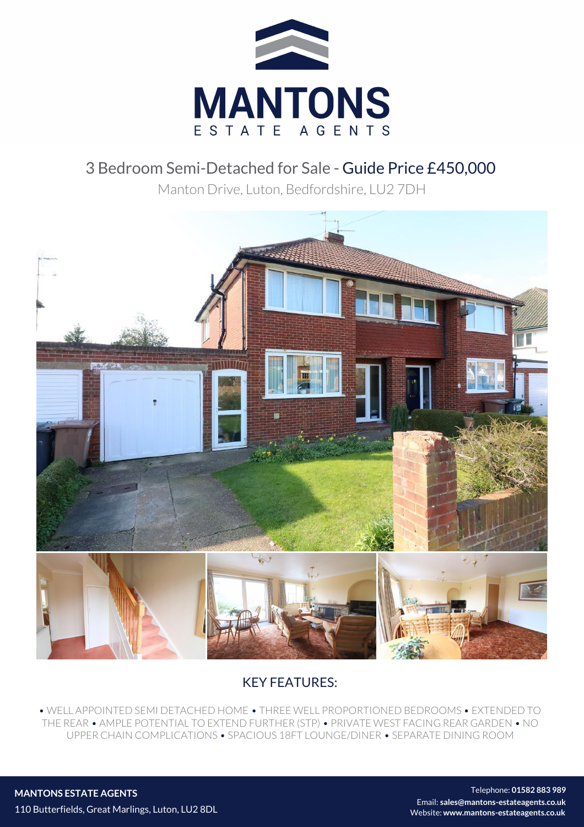

## 3 Bedroom Semi-Detached for Sale - Guide Price £450,000

Manton Drive, Luton, Bedfordshire, LU2 7DH



## KEY FEATURES:

• WELL APPOINTED SEMI DETACHED HOME • THREE WELL PROPORTIONED BEDROOMS • EXTENDED TO THE REAR • AMPLE POTENTIAL TO EXTEND FURTHER (STP) • PRIVATE WEST FACING REAR GARDEN • NO UPPER CHAIN COMPLICATIONS • SPACIOUS 18FT LOUNGE/DINER • SEPARATE DINING ROOM